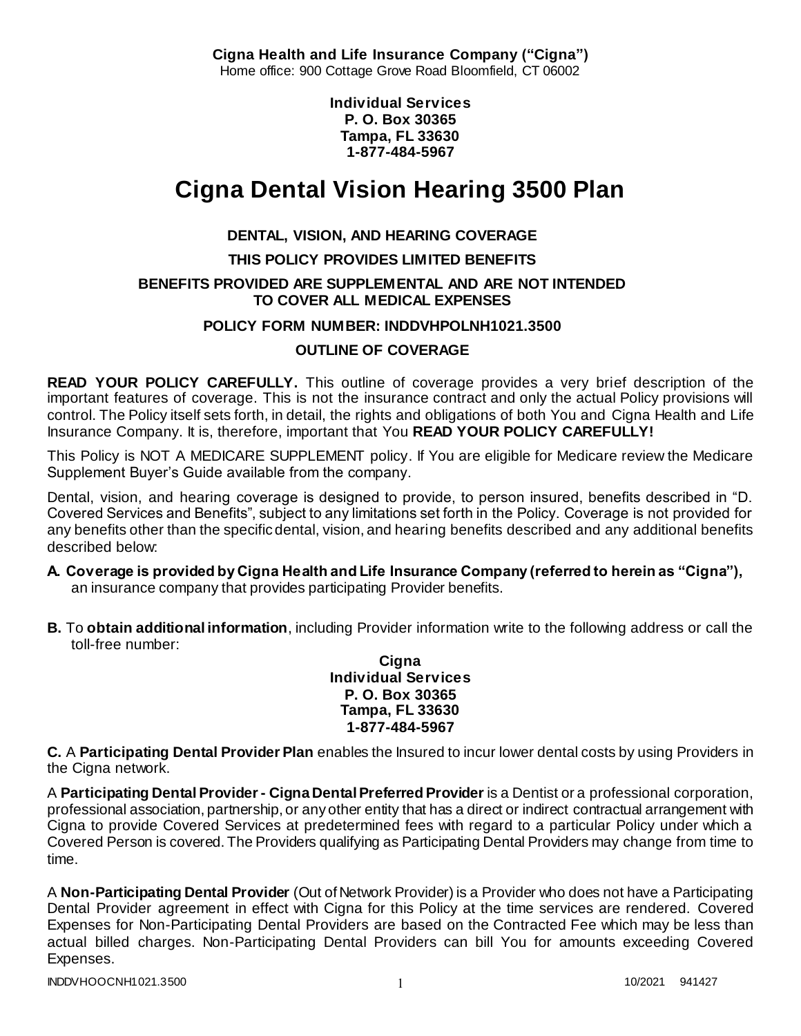**Cigna Health and Life Insurance Company ("Cigna")** Home office: 900 Cottage Grove Road Bloomfield, CT 06002

> **Individual Services P. O. Box 30365 Tampa, FL 33630 1-877-484-5967**

# **Cigna Dental Vision Hearing 3500 Plan**

# **DENTAL, VISION, AND HEARING COVERAGE**

# **THIS POLICY PROVIDES LIMITED BENEFITS**

### **BENEFITS PROVIDED ARE SUPPLEMENTAL AND ARE NOT INTENDED TO COVER ALL MEDICAL EXPENSES**

### **POLICY FORM NUMBER: INDDVHPOLNH1021.3500**

# **OUTLINE OF COVERAGE**

**READ YOUR POLICY CAREFULLY.** This outline of coverage provides a very brief description of the important features of coverage. This is not the insurance contract and only the actual Policy provisions will control. The Policy itself sets forth, in detail, the rights and obligations of both You and Cigna Health and Life Insurance Company. It is, therefore, important that You **READ YOUR POLICY CAREFULLY!** 

This Policy is NOT A MEDICARE SUPPLEMENT policy. If You are eligible for Medicare review the Medicare Supplement Buyer's Guide available from the company.

Dental, vision, and hearing coverage is designed to provide, to person insured, benefits described in "D. Covered Services and Benefits", subject to any limitations set forth in the Policy. Coverage is not provided for any benefits other than the specific dental, vision, and hearing benefits described and any additional benefits described below:

- **A. Coverage is provided by Cigna Health and Life Insurance Company (referred to herein as "Cigna"),**  an insurance company that provides participating Provider benefits.
- **B.** To **obtain additional information**, including Provider information write to the following address or call the toll-free number:

**Cigna Individual Services P. O. Box 30365 Tampa, FL 33630 1-877-484-5967**

**C.** A **Participating Dental Provider Plan** enables the Insured to incur lower dental costs by using Providers in the Cigna network.

A **Participating Dental Provider - Cigna Dental Preferred Provider** is a Dentist or a professional corporation, professional association, partnership, or any other entity that has a direct or indirect contractual arrangement with Cigna to provide Covered Services at predetermined fees with regard to a particular Policy under which a Covered Person is covered. The Providers qualifying as Participating Dental Providers may change from time to time.

A **Non-Participating Dental Provider** (Out of Network Provider) is a Provider who does not have a Participating Dental Provider agreement in effect with Cigna for this Policy at the time services are rendered. Covered Expenses for Non-Participating Dental Providers are based on the Contracted Fee which may be less than actual billed charges. Non-Participating Dental Providers can bill You for amounts exceeding Covered Expenses.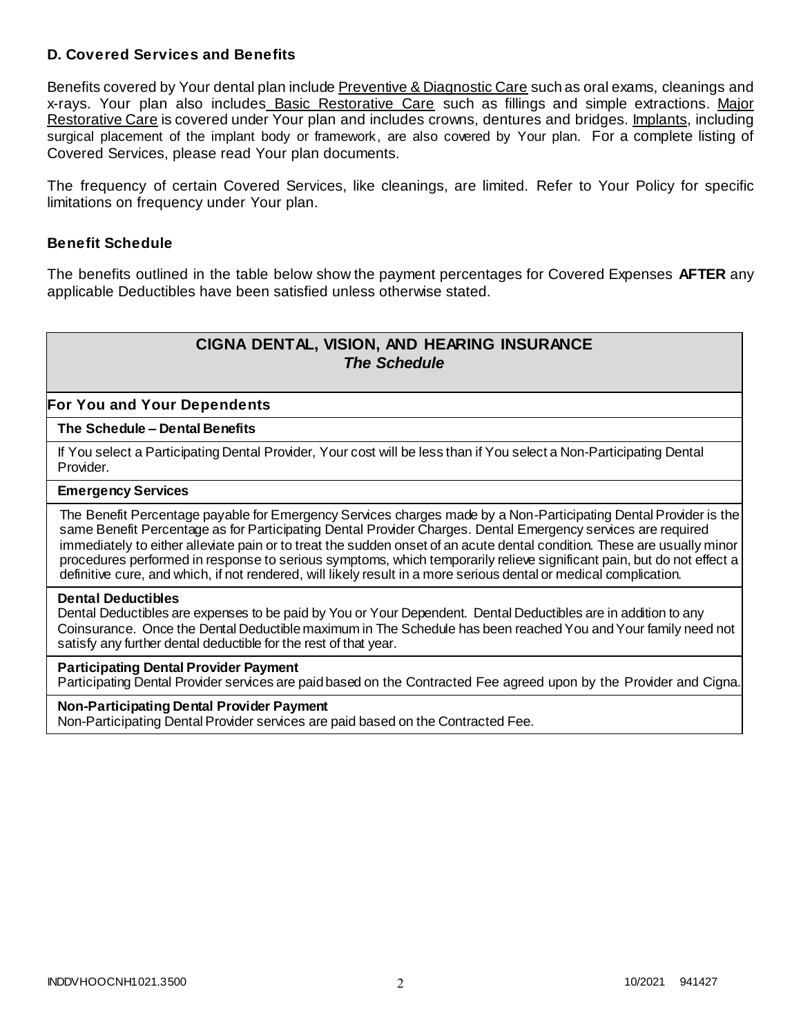### **D. Covered Services and Benefits**

Benefits covered by Your dental plan include Preventive & Diagnostic Care such as oral exams, cleanings and x-rays. Your plan also includes Basic Restorative Care such as fillings and simple extractions. Major Restorative Care is covered under Your plan and includes crowns, dentures and bridges. Implants, including surgical placement of the implant body or framework, are also covered by Your plan. For a complete listing of Covered Services, please read Your plan documents.

The frequency of certain Covered Services, like cleanings, are limited. Refer to Your Policy for specific limitations on frequency under Your plan.

#### **Benefit Schedule**

The benefits outlined in the table below show the payment percentages for Covered Expenses **AFTER** any applicable Deductibles have been satisfied unless otherwise stated.

# **CIGNA DENTAL, VISION, AND HEARING INSURANCE** *The Schedule*

#### **For You and Your Dependents**

#### **The Schedule – Dental Benefits**

If You select a Participating Dental Provider, Your cost will be less than if You select a Non-Participating Dental Provider.

#### **Emergency Services**

The Benefit Percentage payable for Emergency Services charges made by a Non-Participating Dental Provider is the same Benefit Percentage as for Participating Dental Provider Charges. Dental Emergency services are required immediately to either alleviate pain or to treat the sudden onset of an acute dental condition. These are usually minor procedures performed in response to serious symptoms, which temporarily relieve significant pain, but do not effect a definitive cure, and which, if not rendered, will likely result in a more serious dental or medical complication.

#### **Dental Deductibles**

Dental Deductibles are expenses to be paid by You or Your Dependent. Dental Deductibles are in addition to any Coinsurance. Once the Dental Deductible maximum in The Schedule has been reached You and Your family need not satisfy any further dental deductible for the rest of that year.

#### **Participating Dental Provider Payment**

Participating Dental Provider services are paid based on the Contracted Fee agreed upon by the Provider and Cigna.

#### **Non-Participating Dental Provider Payment**

Non-Participating Dental Provider services are paid based on the Contracted Fee.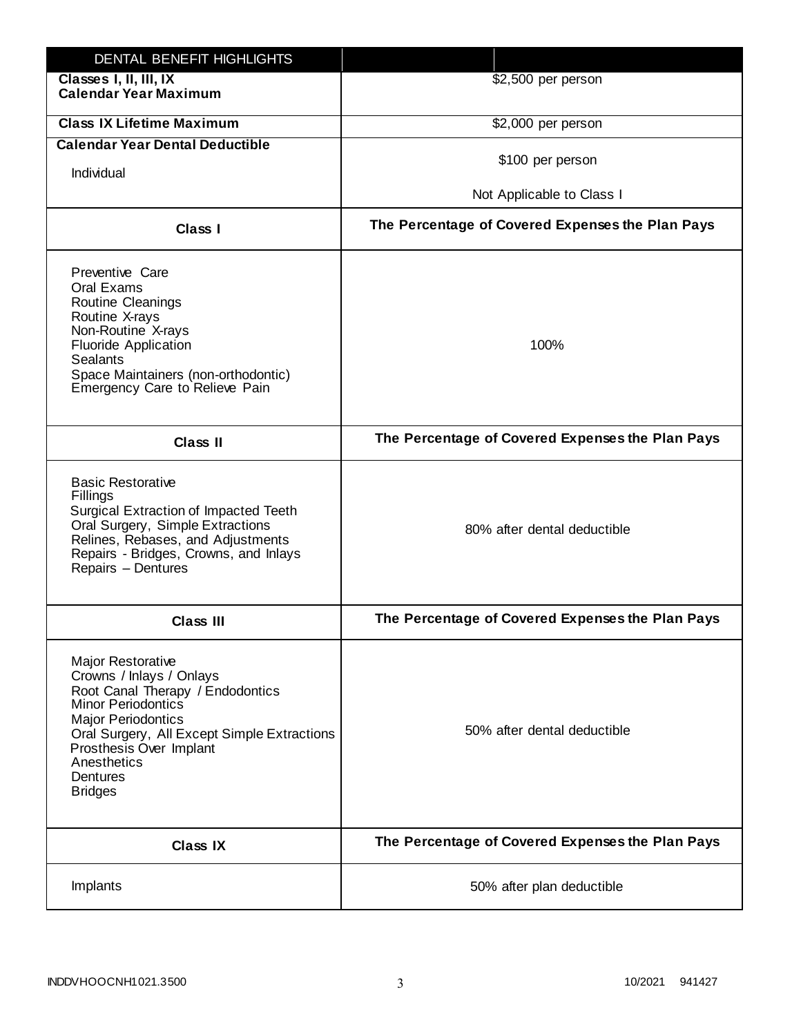| DENTAL BENEFIT HIGHLIGHTS                                                                                                                                                                                                                                                 |                                                  |
|---------------------------------------------------------------------------------------------------------------------------------------------------------------------------------------------------------------------------------------------------------------------------|--------------------------------------------------|
| Classes I, II, III, IX<br><b>Calendar Year Maximum</b>                                                                                                                                                                                                                    | \$2,500 per person                               |
| <b>Class IX Lifetime Maximum</b>                                                                                                                                                                                                                                          | \$2,000 per person                               |
| <b>Calendar Year Dental Deductible</b>                                                                                                                                                                                                                                    |                                                  |
| Individual                                                                                                                                                                                                                                                                | \$100 per person                                 |
|                                                                                                                                                                                                                                                                           | Not Applicable to Class I                        |
| Class I                                                                                                                                                                                                                                                                   | The Percentage of Covered Expenses the Plan Pays |
| Preventive Care<br>Oral Exams<br><b>Routine Cleanings</b><br>Routine X-rays<br>Non-Routine X-rays<br><b>Fluoride Application</b><br><b>Sealants</b><br>Space Maintainers (non-orthodontic)<br>Emergency Care to Relieve Pain                                              | 100%                                             |
| <b>Class II</b>                                                                                                                                                                                                                                                           | The Percentage of Covered Expenses the Plan Pays |
| <b>Basic Restorative</b><br>Fillings<br>Surgical Extraction of Impacted Teeth<br>Oral Surgery, Simple Extractions<br>Relines, Rebases, and Adjustments<br>Repairs - Bridges, Crowns, and Inlays<br>Repairs - Dentures                                                     | 80% after dental deductible                      |
| <b>Class III</b>                                                                                                                                                                                                                                                          | The Percentage of Covered Expenses the Plan Pays |
| <b>Major Restorative</b><br>Crowns / Inlays / Onlays<br>Root Canal Therapy / Endodontics<br><b>Minor Periodontics</b><br><b>Major Periodontics</b><br>Oral Surgery, All Except Simple Extractions<br>Prosthesis Over Implant<br>Anesthetics<br>Dentures<br><b>Bridges</b> | 50% after dental deductible                      |
| <b>Class IX</b>                                                                                                                                                                                                                                                           | The Percentage of Covered Expenses the Plan Pays |
| Implants                                                                                                                                                                                                                                                                  | 50% after plan deductible                        |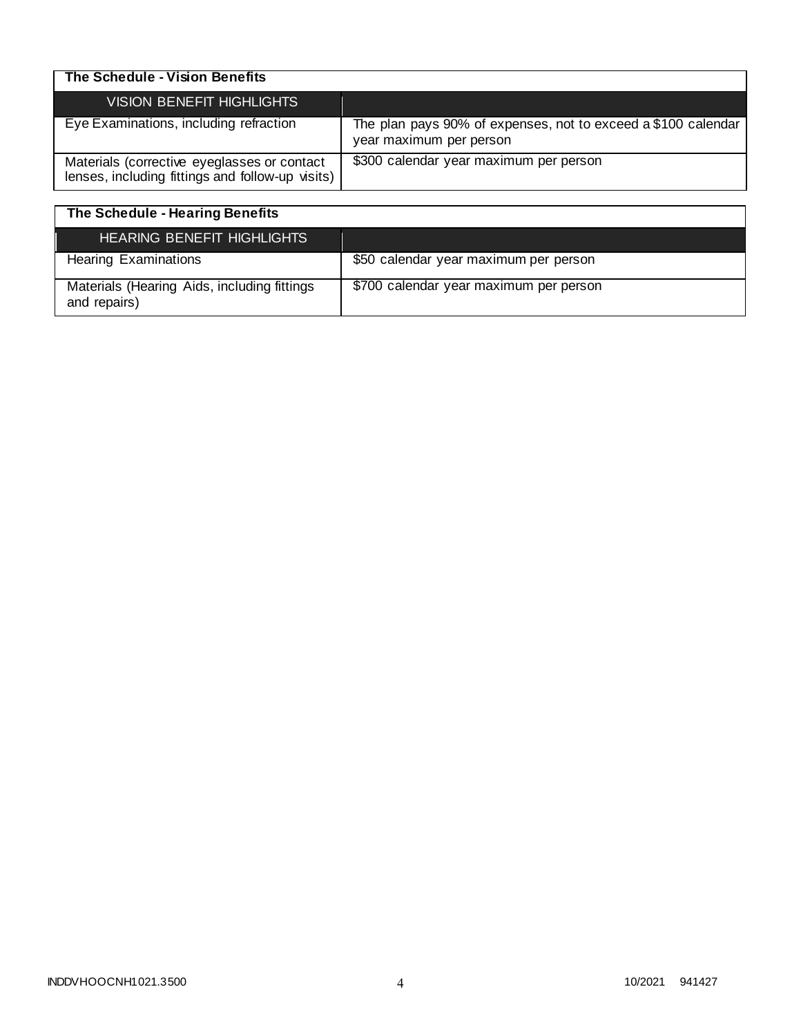| The Schedule - Vision Benefits                                                                  |                                                                                          |
|-------------------------------------------------------------------------------------------------|------------------------------------------------------------------------------------------|
| <b>VISION BENEFIT HIGHLIGHTS</b>                                                                |                                                                                          |
| Eye Examinations, including refraction                                                          | The plan pays 90% of expenses, not to exceed a \$100 calendar<br>year maximum per person |
| Materials (corrective eyeglasses or contact<br>lenses, including fittings and follow-up visits) | \$300 calendar year maximum per person                                                   |

| The Schedule - Hearing Benefits                             |                                        |
|-------------------------------------------------------------|----------------------------------------|
| <b>HEARING BENEFIT HIGHLIGHTS</b>                           |                                        |
| <b>Hearing Examinations</b>                                 | \$50 calendar year maximum per person  |
| Materials (Hearing Aids, including fittings<br>and repairs) | \$700 calendar year maximum per person |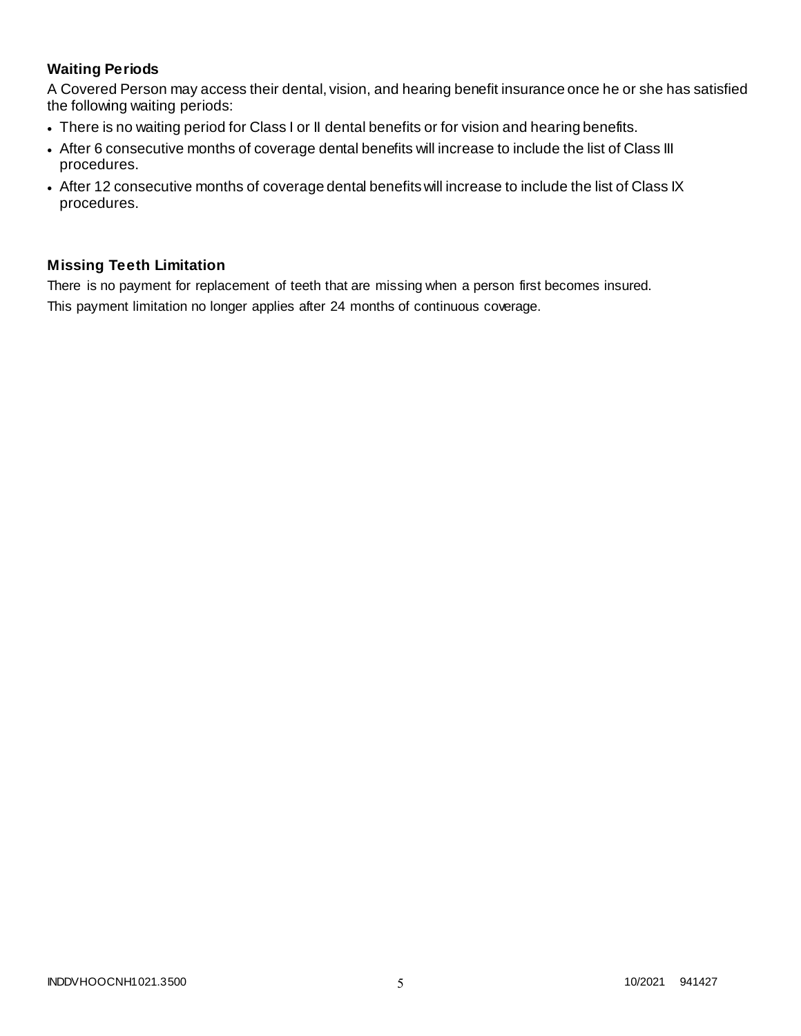# **Waiting Periods**

A Covered Person may access their dental, vision, and hearing benefit insurance once he or she has satisfied the following waiting periods:

- There is no waiting period for Class I or II dental benefits or for vision and hearing benefits.
- After 6 consecutive months of coverage dental benefits will increase to include the list of Class III procedures.
- After 12 consecutive months of coverage dental benefits will increase to include the list of Class IX procedures.

# **Missing Teeth Limitation**

There is no payment for replacement of teeth that are missing when a person first becomes insured. This payment limitation no longer applies after 24 months of continuous coverage.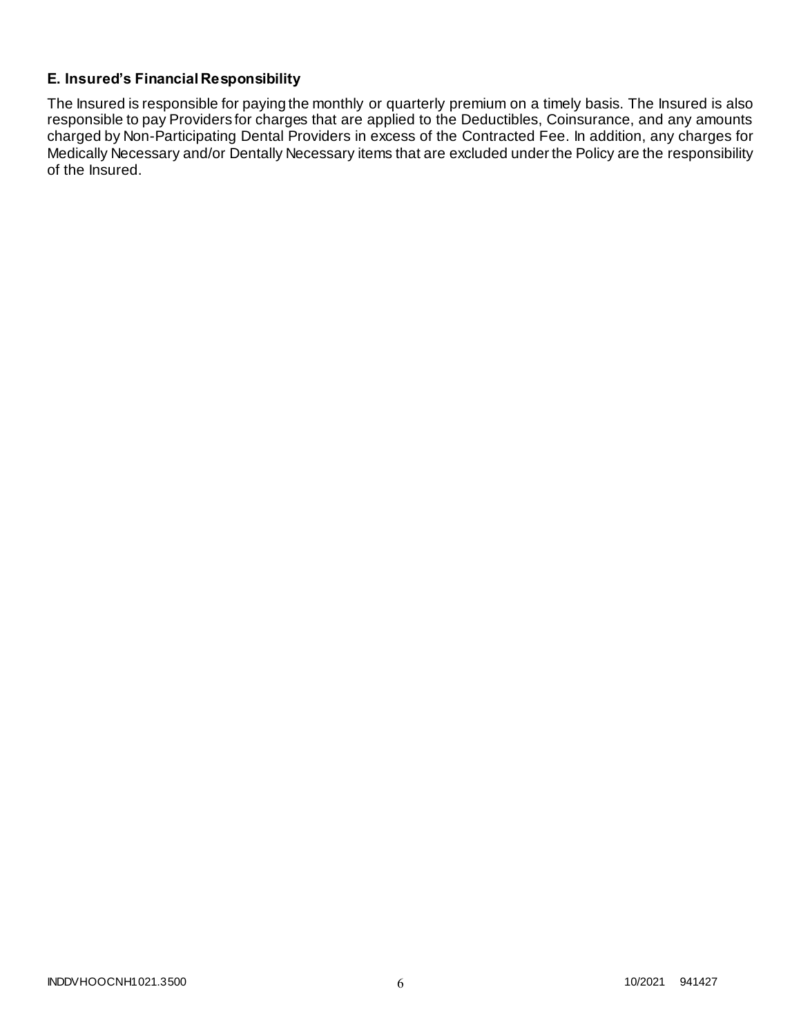# **E. Insured's Financial Responsibility**

The Insured is responsible for paying the monthly or quarterly premium on a timely basis. The Insured is also responsible to pay Providers for charges that are applied to the Deductibles, Coinsurance, and any amounts charged by Non-Participating Dental Providers in excess of the Contracted Fee. In addition, any charges for Medically Necessary and/or Dentally Necessary items that are excluded under the Policy are the responsibility of the Insured.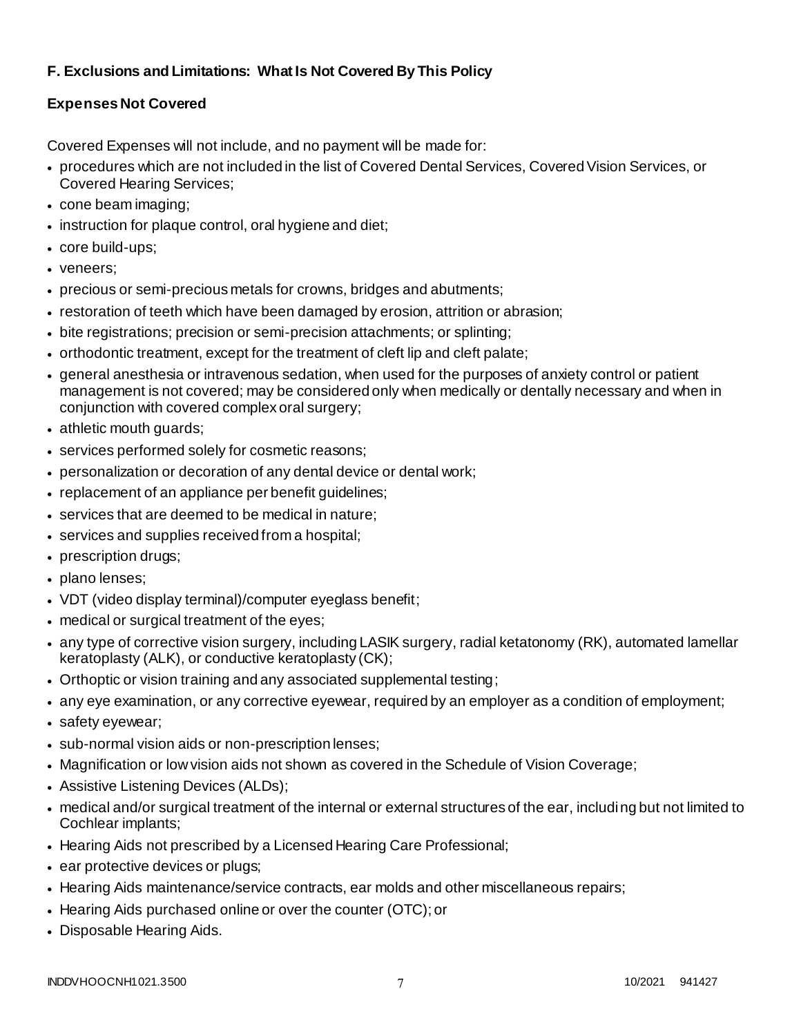# **F. Exclusions and Limitations: What Is Not Covered By This Policy**

# **Expenses Not Covered**

Covered Expenses will not include, and no payment will be made for:

- procedures which are not included in the list of Covered Dental Services, Covered Vision Services, or Covered Hearing Services;
- cone beam imaging;
- instruction for plaque control, oral hygiene and diet;
- core build-ups;
- veneers;
- precious or semi-precious metals for crowns, bridges and abutments;
- restoration of teeth which have been damaged by erosion, attrition or abrasion;
- bite registrations; precision or semi-precision attachments; or splinting;
- orthodontic treatment, except for the treatment of cleft lip and cleft palate;
- general anesthesia or intravenous sedation, when used for the purposes of anxiety control or patient management is not covered; may be considered only when medically or dentally necessary and when in conjunction with covered complex oral surgery;
- athletic mouth guards;
- services performed solely for cosmetic reasons;
- personalization or decoration of any dental device or dental work;
- replacement of an appliance per benefit guidelines;
- services that are deemed to be medical in nature;
- services and supplies received from a hospital;
- prescription drugs;
- plano lenses;
- VDT (video display terminal)/computer eyeglass benefit;
- medical or surgical treatment of the eyes;
- any type of corrective vision surgery, including LASIK surgery, radial ketatonomy (RK), automated lamellar keratoplasty (ALK), or conductive keratoplasty (CK);
- Orthoptic or vision training and any associated supplemental testing;
- any eye examination, or any corrective eyewear, required by an employer as a condition of employment;
- safety eyewear;
- sub-normal vision aids or non-prescription lenses;
- Magnification or low vision aids not shown as covered in the Schedule of Vision Coverage;
- Assistive Listening Devices (ALDs);
- medical and/or surgical treatment of the internal or external structures of the ear, including but not limited to Cochlear implants;
- Hearing Aids not prescribed by a Licensed Hearing Care Professional;
- ear protective devices or plugs;
- Hearing Aids maintenance/service contracts, ear molds and other miscellaneous repairs;
- Hearing Aids purchased online or over the counter (OTC); or
- Disposable Hearing Aids.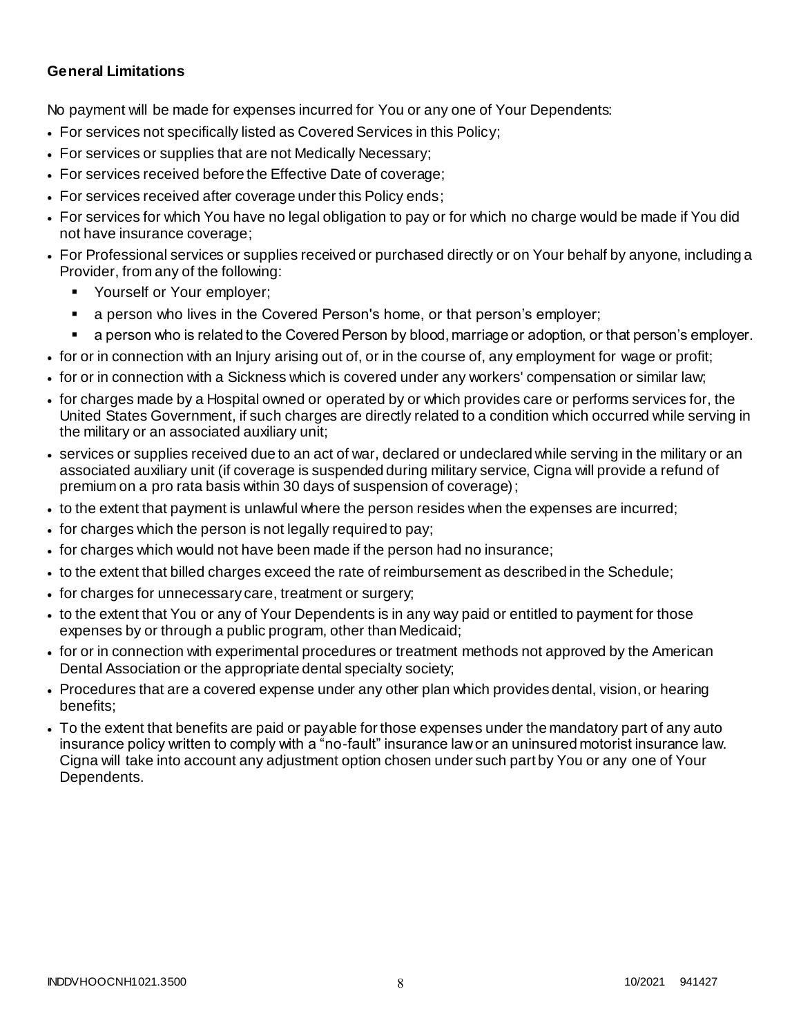### **General Limitations**

No payment will be made for expenses incurred for You or any one of Your Dependents:

- For services not specifically listed as Covered Services in this Policy;
- For services or supplies that are not Medically Necessary;
- For services received before the Effective Date of coverage;
- For services received after coverage under this Policy ends;
- For services for which You have no legal obligation to pay or for which no charge would be made if You did not have insurance coverage;
- For Professional services or supplies received or purchased directly or on Your behalf by anyone, including a Provider, from any of the following:
	- Yourself or Your employer;
	- a person who lives in the Covered Person's home, or that person's employer;
	- a person who is related to the Covered Person by blood, marriage or adoption, or that person's employer.
- for or in connection with an Injury arising out of, or in the course of, any employment for wage or profit;
- for or in connection with a Sickness which is covered under any workers' compensation or similar law;
- for charges made by a Hospital owned or operated by or which provides care or performs services for, the United States Government, if such charges are directly related to a condition which occurred while serving in the military or an associated auxiliary unit;
- services or supplies received due to an act of war, declared or undeclared while serving in the military or an associated auxiliary unit (if coverage is suspended during military service, Cigna will provide a refund of premium on a pro rata basis within 30 days of suspension of coverage);
- to the extent that payment is unlawful where the person resides when the expenses are incurred;
- for charges which the person is not legally required to pay;
- for charges which would not have been made if the person had no insurance;
- to the extent that billed charges exceed the rate of reimbursement as described in the Schedule;
- for charges for unnecessary care, treatment or surgery;
- to the extent that You or any of Your Dependents is in any way paid or entitled to payment for those expenses by or through a public program, other than Medicaid;
- for or in connection with experimental procedures or treatment methods not approved by the American Dental Association or the appropriate dental specialty society;
- Procedures that are a covered expense under any other plan which provides dental, vision, or hearing benefits;
- To the extent that benefits are paid or payable for those expenses under the mandatory part of any auto insurance policy written to comply with a "no-fault" insurance law or an uninsured motorist insurance law. Cigna will take into account any adjustment option chosen under such part by You or any one of Your Dependents.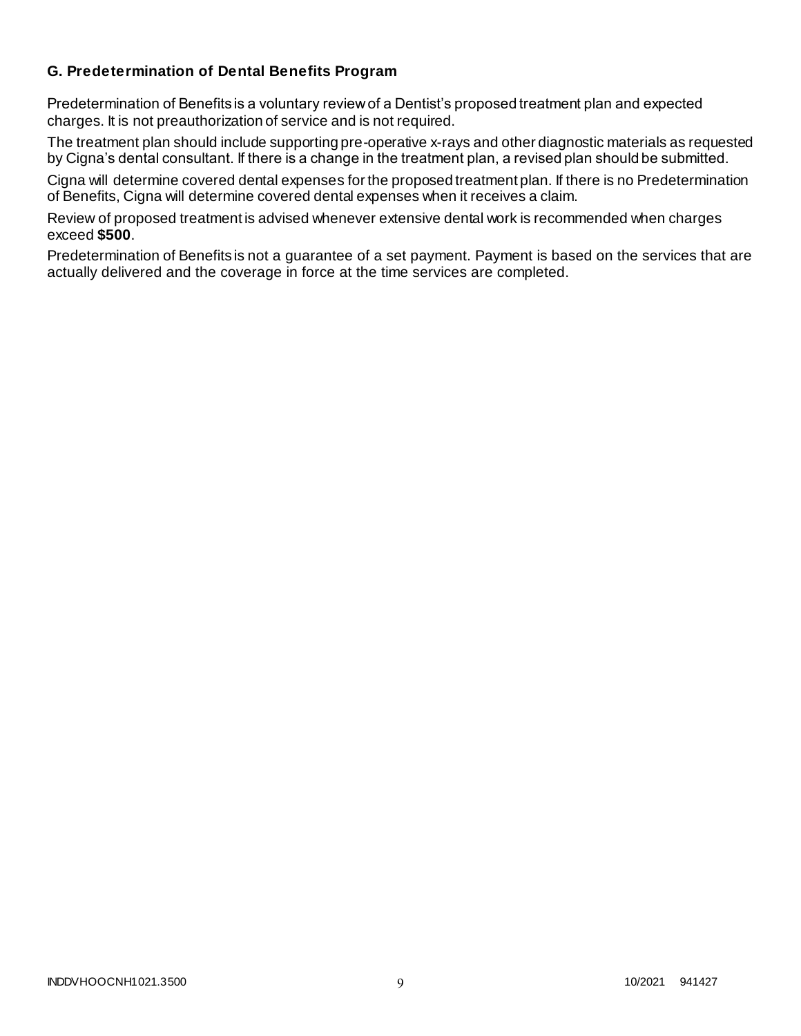### **G. Predetermination of Dental Benefits Program**

Predetermination of Benefits is a voluntary review of a Dentist's proposed treatment plan and expected charges. It is not preauthorization of service and is not required.

The treatment plan should include supporting pre-operative x-rays and other diagnostic materials as requested by Cigna's dental consultant. If there is a change in the treatment plan, a revised plan should be submitted.

Cigna will determine covered dental expenses for the proposed treatment plan. If there is no Predetermination of Benefits, Cigna will determine covered dental expenses when it receives a claim.

Review of proposed treatment is advised whenever extensive dental work is recommended when charges exceed **\$500**.

Predetermination of Benefits is not a guarantee of a set payment. Payment is based on the services that are actually delivered and the coverage in force at the time services are completed.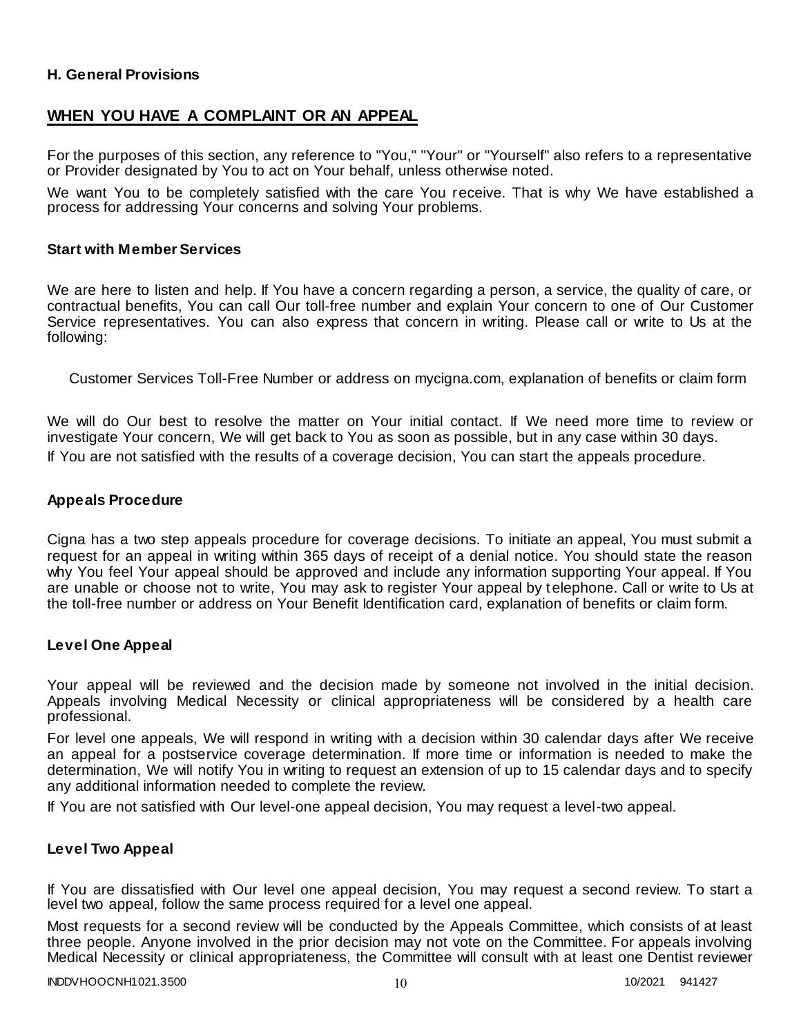### **H. General Provisions**

### **WHEN YOU HAVE A COMPLAINT OR AN APPEAL**

For the purposes of this section, any reference to "You," "Your" or "Yourself" also refers to a representative or Provider designated by You to act on Your behalf, unless otherwise noted.

We want You to be completely satisfied with the care You receive. That is why We have established a process for addressing Your concerns and solving Your problems.

#### **Start with Member Services**

We are here to listen and help. If You have a concern regarding a person, a service, the quality of care, or contractual benefits, You can call Our toll-free number and explain Your concern to one of Our Customer Service representatives. You can also express that concern in writing. Please call or write to Us at the following:

Customer Services Toll-Free Number or address on mycigna.com, explanation of benefits or claim form

We will do Our best to resolve the matter on Your initial contact. If We need more time to review or investigate Your concern, We will get back to You as soon as possible, but in any case within 30 days. If You are not satisfied with the results of a coverage decision, You can start the appeals procedure.

#### **Appeals Procedure**

Cigna has a two step appeals procedure for coverage decisions. To initiate an appeal, You must submit a request for an appeal in writing within 365 days of receipt of a denial notice. You should state the reason why You feel Your appeal should be approved and include any information supporting Your appeal. If You are unable or choose not to write, You may ask to register Your appeal by telephone. Call or write to Us at the toll-free number or address on Your Benefit Identification card, explanation of benefits or claim form.

#### **Level One Appeal**

Your appeal will be reviewed and the decision made by someone not involved in the initial decision. Appeals involving Medical Necessity or clinical appropriateness will be considered by a health care professional.

For level one appeals, We will respond in writing with a decision within 30 calendar days after We receive an appeal for a postservice coverage determination. If more time or information is needed to make the determination, We will notify You in writing to request an extension of up to 15 calendar days and to specify any additional information needed to complete the review.

If You are not satisfied with Our level-one appeal decision, You may request a level-two appeal.

### **Level Two Appeal**

If You are dissatisfied with Our level one appeal decision, You may request a second review. To start a level two appeal, follow the same process required for a level one appeal.

Most requests for a second review will be conducted by the Appeals Committee, which consists of at least three people. Anyone involved in the prior decision may not vote on the Committee. For appeals involving Medical Necessity or clinical appropriateness, the Committee will consult with at least one Dentist reviewer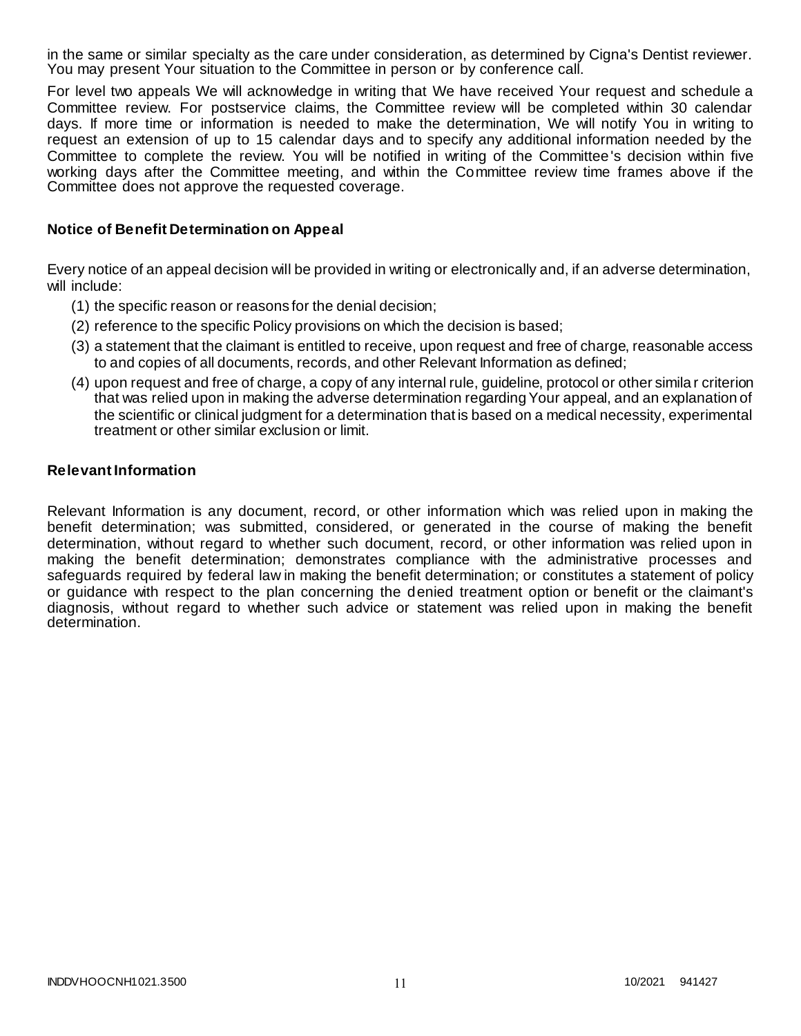in the same or similar specialty as the care under consideration, as determined by Cigna's Dentist reviewer. You may present Your situation to the Committee in person or by conference call.

For level two appeals We will acknowledge in writing that We have received Your request and schedule a Committee review. For postservice claims, the Committee review will be completed within 30 calendar days. If more time or information is needed to make the determination, We will notify You in writing to request an extension of up to 15 calendar days and to specify any additional information needed by the Committee to complete the review. You will be notified in writing of the Committee's decision within five working days after the Committee meeting, and within the Committee review time frames above if the Committee does not approve the requested coverage.

### **Notice of Benefit Determination on Appeal**

Every notice of an appeal decision will be provided in writing or electronically and, if an adverse determination, will include:

- (1) the specific reason or reasons for the denial decision;
- (2) reference to the specific Policy provisions on which the decision is based;
- (3) a statement that the claimant is entitled to receive, upon request and free of charge, reasonable access to and copies of all documents, records, and other Relevant Information as defined;
- (4) upon request and free of charge, a copy of any internal rule, guideline, protocol or other simila r criterion that was relied upon in making the adverse determination regarding Your appeal, and an explanation of the scientific or clinical judgment for a determination that is based on a medical necessity, experimental treatment or other similar exclusion or limit.

#### **Relevant Information**

Relevant Information is any document, record, or other information which was relied upon in making the benefit determination; was submitted, considered, or generated in the course of making the benefit determination, without regard to whether such document, record, or other information was relied upon in making the benefit determination; demonstrates compliance with the administrative processes and safeguards required by federal law in making the benefit determination; or constitutes a statement of policy or guidance with respect to the plan concerning the denied treatment option or benefit or the claimant's diagnosis, without regard to whether such advice or statement was relied upon in making the benefit determination.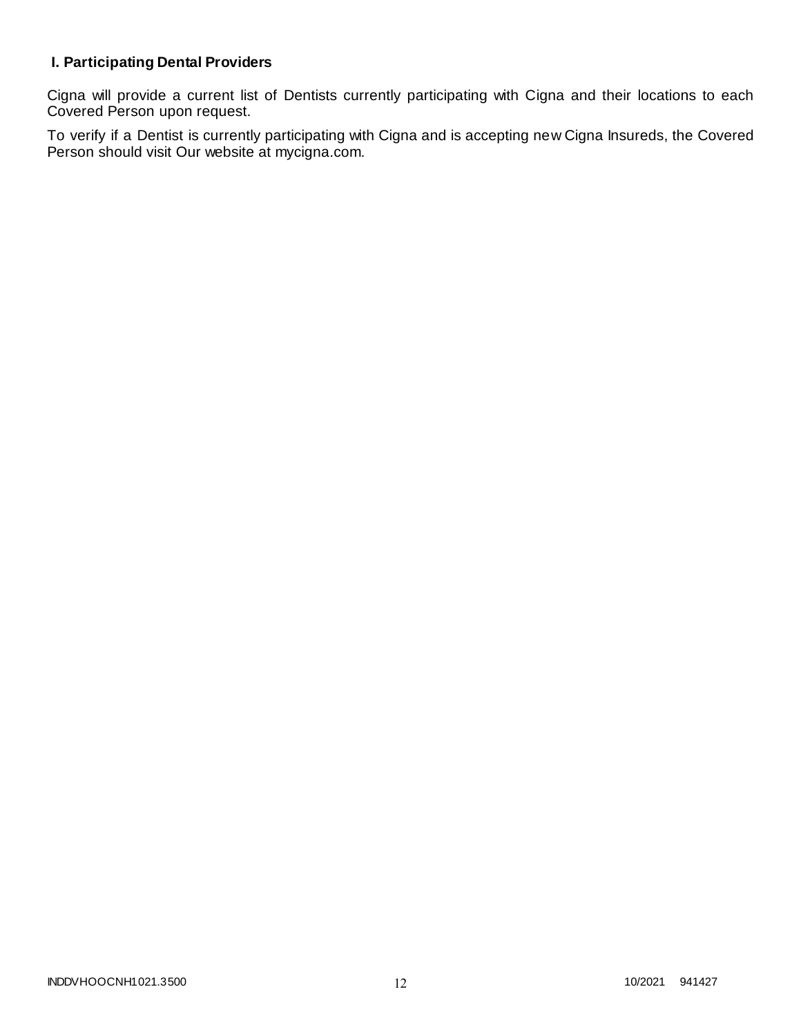# **I. Participating Dental Providers**

Cigna will provide a current list of Dentists currently participating with Cigna and their locations to each Covered Person upon request.

To verify if a Dentist is currently participating with Cigna and is accepting new Cigna Insureds, the Covered Person should visit Our website at mycigna.com.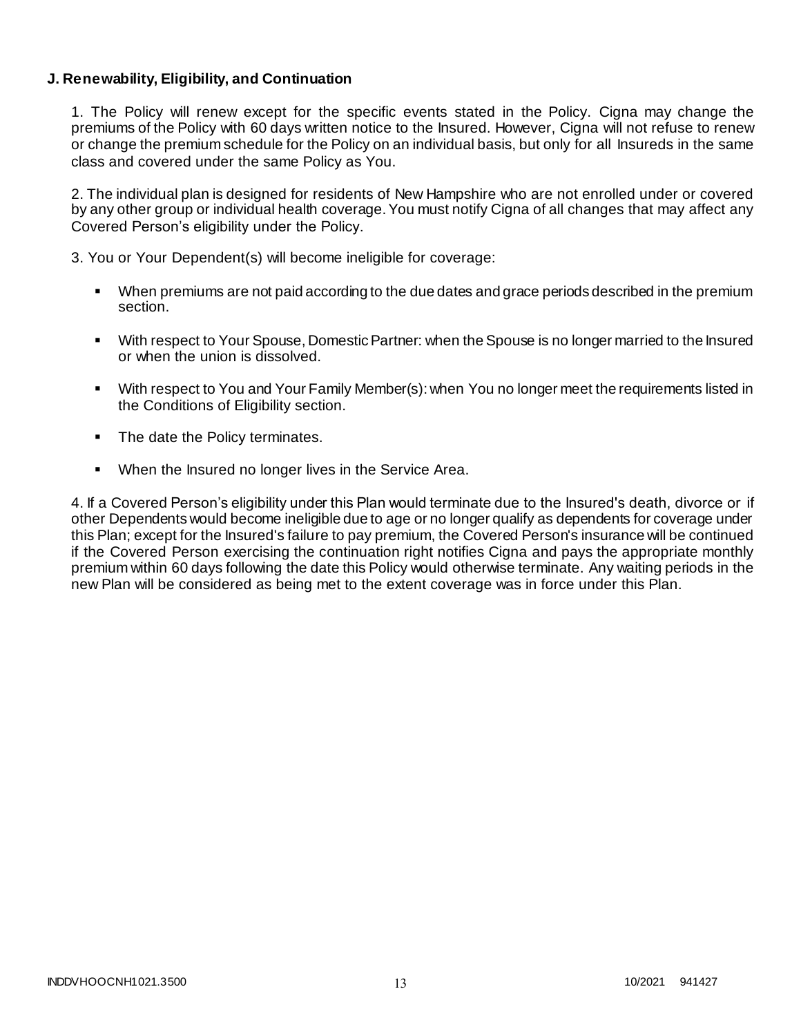### **J. Renewability, Eligibility, and Continuation**

1. The Policy will renew except for the specific events stated in the Policy. Cigna may change the premiums of the Policy with 60 days written notice to the Insured. However, Cigna will not refuse to renew or change the premium schedule for the Policy on an individual basis, but only for all Insureds in the same class and covered under the same Policy as You.

2. The individual plan is designed for residents of New Hampshire who are not enrolled under or covered by any other group or individual health coverage. You must notify Cigna of all changes that may affect any Covered Person's eligibility under the Policy.

3. You or Your Dependent(s) will become ineligible for coverage:

- When premiums are not paid according to the due dates and grace periods described in the premium section.
- With respect to Your Spouse, Domestic Partner: when the Spouse is no longer married to the Insured or when the union is dissolved.
- With respect to You and Your Family Member(s): when You no longer meet the requirements listed in the Conditions of Eligibility section.
- The date the Policy terminates.
- When the Insured no longer lives in the Service Area.

4. If a Covered Person's eligibility under this Plan would terminate due to the Insured's death, divorce or if other Dependents would become ineligible due to age or no longer qualify as dependents for coverage under this Plan; except for the Insured's failure to pay premium, the Covered Person's insurance will be continued if the Covered Person exercising the continuation right notifies Cigna and pays the appropriate monthly premium within 60 days following the date this Policy would otherwise terminate. Any waiting periods in the new Plan will be considered as being met to the extent coverage was in force under this Plan.